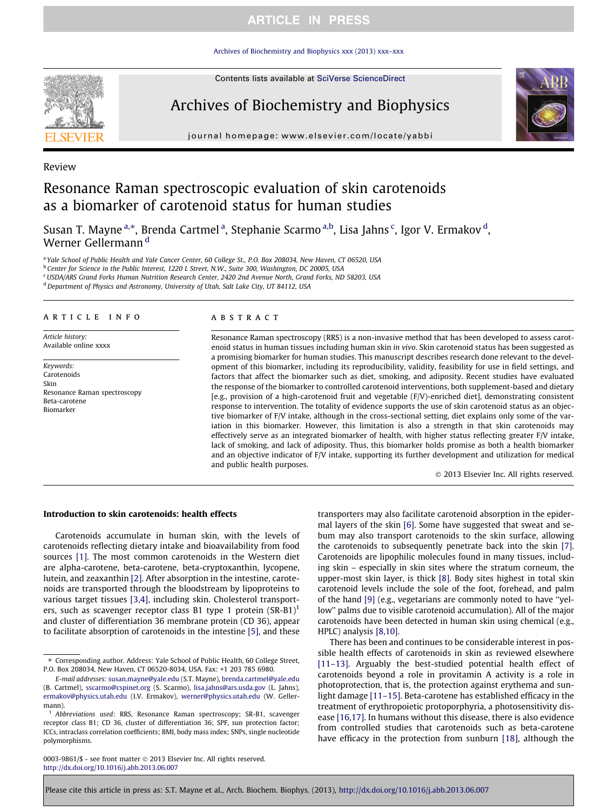## **ARTICLE IN PRESS**

Archives of Biochemistry and Biophysics xxx (2013) xxx–xxx



Contents lists available at SciVerse ScienceDirect

# Archives of Biochemistry and Biophysics



journal homepage: www.elsevier.com/locate/yabbi

## Review

# Resonance Raman spectroscopic evaluation of skin carotenoids as a biomarker of carotenoid status for human studies

Susan T. Mayne <sup>a,\*</sup>, Brenda Cartmel <sup>a</sup>, Stephanie Scarmo <sup>a,b</sup>, Lisa Jahns <sup>c</sup>, Igor V. Ermakov <sup>d</sup>, Werner Gellermann<sup>d</sup>

a Yale School of Public Health and Yale Cancer Center, 60 College St., P.O. Box 208034, New Haven, CT 06520, USA

<sup>b</sup> Center for Science in the Public Interest, 1220 L Street, N.W., Suite 300, Washington, DC 20005, USA

<sup>c</sup>USDA/ARS Grand Forks Human Nutrition Research Center, 2420 2nd Avenue North, Grand Forks, ND 58203, USA <sup>d</sup> Department of Physics and Astronomy, University of Utah, Salt Lake City, UT 84112, USA

## article info

Article history: Available online xxxx

Keywords: Carotenoids Skin Resonance Raman spectroscopy Beta-carotene Biomarker

#### **ABSTRACT**

Resonance Raman spectroscopy (RRS) is a non-invasive method that has been developed to assess carotenoid status in human tissues including human skin in vivo. Skin carotenoid status has been suggested as a promising biomarker for human studies. This manuscript describes research done relevant to the development of this biomarker, including its reproducibility, validity, feasibility for use in field settings, and factors that affect the biomarker such as diet, smoking, and adiposity. Recent studies have evaluated the response of the biomarker to controlled carotenoid interventions, both supplement-based and dietary [e.g., provision of a high-carotenoid fruit and vegetable (F/V)-enriched diet], demonstrating consistent response to intervention. The totality of evidence supports the use of skin carotenoid status as an objective biomarker of F/V intake, although in the cross-sectional setting, diet explains only some of the variation in this biomarker. However, this limitation is also a strength in that skin carotenoids may effectively serve as an integrated biomarker of health, with higher status reflecting greater F/V intake, lack of smoking, and lack of adiposity. Thus, this biomarker holds promise as both a health biomarker and an objective indicator of F/V intake, supporting its further development and utilization for medical and public health purposes.

 $©$  2013 Elsevier Inc. All rights reserved.

## Introduction to skin carotenoids: health effects

Carotenoids accumulate in human skin, with the levels of carotenoids reflecting dietary intake and bioavailability from food sources [1]. The most common carotenoids in the Western diet are alpha-carotene, beta-carotene, beta-cryptoxanthin, lycopene, lutein, and zeaxanthin [2]. After absorption in the intestine, carotenoids are transported through the bloodstream by lipoproteins to various target tissues [3,4], including skin. Cholesterol transporters, such as scavenger receptor class B1 type 1 protein  $(SR-B1)^1$ and cluster of differentiation 36 membrane protein (CD 36), appear to facilitate absorption of carotenoids in the intestine [5], and these

0003-9861/\$ - see front matter @ 2013 Elsevier Inc. All rights reserved. http://dx.doi.org/10.1016/j.abb.2013.06.007

transporters may also facilitate carotenoid absorption in the epidermal layers of the skin [6]. Some have suggested that sweat and sebum may also transport carotenoids to the skin surface, allowing the carotenoids to subsequently penetrate back into the skin [7]. Carotenoids are lipophilic molecules found in many tissues, including skin – especially in skin sites where the stratum corneum, the upper-most skin layer, is thick [8]. Body sites highest in total skin carotenoid levels include the sole of the foot, forehead, and palm of the hand [9] (e.g., vegetarians are commonly noted to have ''yellow'' palms due to visible carotenoid accumulation). All of the major carotenoids have been detected in human skin using chemical (e.g., HPLC) analysis [8,10].

There has been and continues to be considerable interest in possible health effects of carotenoids in skin as reviewed elsewhere [11–13]. Arguably the best-studied potential health effect of carotenoids beyond a role in provitamin A activity is a role in photoprotection, that is, the protection against erythema and sunlight damage [11–15]. Beta-carotene has established efficacy in the treatment of erythropoietic protoporphyria, a photosensitivity disease [16,17]. In humans without this disease, there is also evidence from controlled studies that carotenoids such as beta-carotene have efficacy in the protection from sunburn [18], although the

<sup>⇑</sup> Corresponding author. Address: Yale School of Public Health, 60 College Street, P.O. Box 208034, New Haven, CT 06520-8034, USA. Fax: +1 203 785 6980.

E-mail addresses: susan.mayne@yale.edu (S.T. Mayne), brenda.cartmel@yale.edu (B. Cartmel), sscarmo@cspinet.org (S. Scarmo), lisa.jahns@ars.usda.gov (L. Jahns), ermakov@physics.utah.edu (I.V. Ermakov), werner@physics.utah.edu (W. Gellermann).

<sup>1</sup> Abbreviations used: RRS, Resonance Raman spectroscopy; SR-B1, scavenger receptor class B1; CD 36, cluster of differentiation 36; SPF, sun protection factor; ICCs, intraclass correlation coefficients; BMI, body mass index; SNPs, single nucleotide polymorphisms.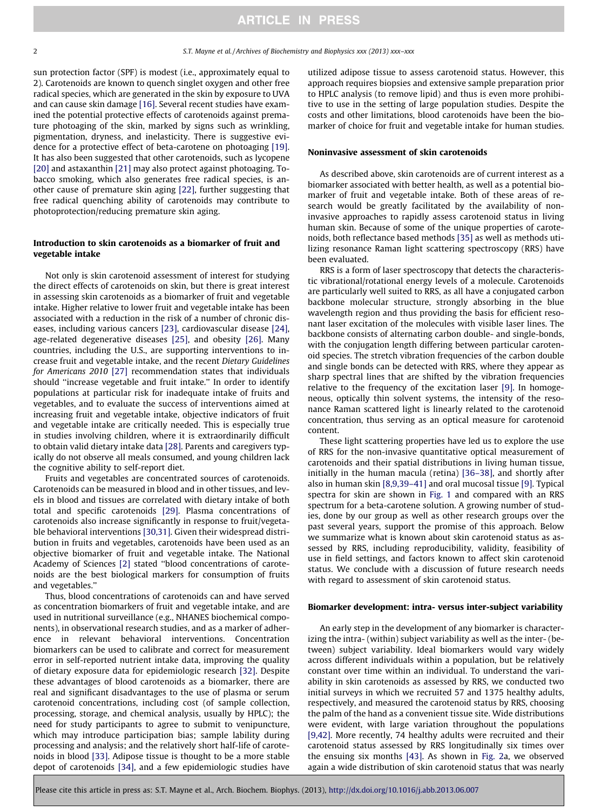sun protection factor (SPF) is modest (i.e., approximately equal to 2). Carotenoids are known to quench singlet oxygen and other free radical species, which are generated in the skin by exposure to UVA and can cause skin damage [\[16\].](#page-6-0) Several recent studies have examined the potential protective effects of carotenoids against premature photoaging of the skin, marked by signs such as wrinkling, pigmentation, dryness, and inelasticity. There is suggestive evidence for a protective effect of beta-carotene on photoaging [\[19\].](#page-6-0) It has also been suggested that other carotenoids, such as lycopene [\[20\]](#page-6-0) and astaxanthin [\[21\]](#page-6-0) may also protect against photoaging. Tobacco smoking, which also generates free radical species, is another cause of premature skin aging [\[22\],](#page-6-0) further suggesting that free radical quenching ability of carotenoids may contribute to photoprotection/reducing premature skin aging.

## Introduction to skin carotenoids as a biomarker of fruit and vegetable intake

Not only is skin carotenoid assessment of interest for studying the direct effects of carotenoids on skin, but there is great interest in assessing skin carotenoids as a biomarker of fruit and vegetable intake. Higher relative to lower fruit and vegetable intake has been associated with a reduction in the risk of a number of chronic diseases, including various cancers [\[23\]](#page--1-0), cardiovascular disease [\[24\],](#page-6-0) age-related degenerative diseases [\[25\]](#page-6-0), and obesity [\[26\]](#page-6-0). Many countries, including the U.S., are supporting interventions to increase fruit and vegetable intake, and the recent Dietary Guidelines for Americans 2010 [\[27\]](#page-6-0) recommendation states that individuals should ''increase vegetable and fruit intake.'' In order to identify populations at particular risk for inadequate intake of fruits and vegetables, and to evaluate the success of interventions aimed at increasing fruit and vegetable intake, objective indicators of fruit and vegetable intake are critically needed. This is especially true in studies involving children, where it is extraordinarily difficult to obtain valid dietary intake data [\[28\]](#page-6-0). Parents and caregivers typically do not observe all meals consumed, and young children lack the cognitive ability to self-report diet.

Fruits and vegetables are concentrated sources of carotenoids. Carotenoids can be measured in blood and in other tissues, and levels in blood and tissues are correlated with dietary intake of both total and specific carotenoids [\[29\].](#page-6-0) Plasma concentrations of carotenoids also increase significantly in response to fruit/vegetable behavioral interventions [\[30,31\]](#page-6-0). Given their widespread distribution in fruits and vegetables, carotenoids have been used as an objective biomarker of fruit and vegetable intake. The National Academy of Sciences [\[2\]](#page-6-0) stated ''blood concentrations of carotenoids are the best biological markers for consumption of fruits and vegetables.''

Thus, blood concentrations of carotenoids can and have served as concentration biomarkers of fruit and vegetable intake, and are used in nutritional surveillance (e.g., NHANES biochemical components), in observational research studies, and as a marker of adherence in relevant behavioral interventions. Concentration biomarkers can be used to calibrate and correct for measurement error in self-reported nutrient intake data, improving the quality of dietary exposure data for epidemiologic research [\[32\]](#page-6-0). Despite these advantages of blood carotenoids as a biomarker, there are real and significant disadvantages to the use of plasma or serum carotenoid concentrations, including cost (of sample collection, processing, storage, and chemical analysis, usually by HPLC); the need for study participants to agree to submit to venipuncture, which may introduce participation bias; sample lability during processing and analysis; and the relatively short half-life of carotenoids in blood [\[33\].](#page-6-0) Adipose tissue is thought to be a more stable depot of carotenoids [\[34\]](#page-6-0), and a few epidemiologic studies have

utilized adipose tissue to assess carotenoid status. However, this approach requires biopsies and extensive sample preparation prior to HPLC analysis (to remove lipid) and thus is even more prohibitive to use in the setting of large population studies. Despite the costs and other limitations, blood carotenoids have been the biomarker of choice for fruit and vegetable intake for human studies.

#### Noninvasive assessment of skin carotenoids

As described above, skin carotenoids are of current interest as a biomarker associated with better health, as well as a potential biomarker of fruit and vegetable intake. Both of these areas of research would be greatly facilitated by the availability of noninvasive approaches to rapidly assess carotenoid status in living human skin. Because of some of the unique properties of carotenoids, both reflectance based methods [\[35\]](#page-6-0) as well as methods utilizing resonance Raman light scattering spectroscopy (RRS) have been evaluated.

RRS is a form of laser spectroscopy that detects the characteristic vibrational/rotational energy levels of a molecule. Carotenoids are particularly well suited to RRS, as all have a conjugated carbon backbone molecular structure, strongly absorbing in the blue wavelength region and thus providing the basis for efficient resonant laser excitation of the molecules with visible laser lines. The backbone consists of alternating carbon double- and single-bonds, with the conjugation length differing between particular carotenoid species. The stretch vibration frequencies of the carbon double and single bonds can be detected with RRS, where they appear as sharp spectral lines that are shifted by the vibration frequencies relative to the frequency of the excitation laser [\[9\]](#page-6-0). In homogeneous, optically thin solvent systems, the intensity of the resonance Raman scattered light is linearly related to the carotenoid concentration, thus serving as an optical measure for carotenoid content.

These light scattering properties have led us to explore the use of RRS for the non-invasive quantitative optical measurement of carotenoids and their spatial distributions in living human tissue, initially in the human macula (retina) [\[36–38\],](#page-6-0) and shortly after also in human skin [\[8,9,39–41\]](#page-6-0) and oral mucosal tissue [\[9\].](#page-6-0) Typical spectra for skin are shown in [Fig. 1](#page-2-0) and compared with an RRS spectrum for a beta-carotene solution. A growing number of studies, done by our group as well as other research groups over the past several years, support the promise of this approach. Below we summarize what is known about skin carotenoid status as assessed by RRS, including reproducibility, validity, feasibility of use in field settings, and factors known to affect skin carotenoid status. We conclude with a discussion of future research needs with regard to assessment of skin carotenoid status.

#### Biomarker development: intra- versus inter-subject variability

An early step in the development of any biomarker is characterizing the intra- (within) subject variability as well as the inter- (between) subject variability. Ideal biomarkers would vary widely across different individuals within a population, but be relatively constant over time within an individual. To understand the variability in skin carotenoids as assessed by RRS, we conducted two initial surveys in which we recruited 57 and 1375 healthy adults, respectively, and measured the carotenoid status by RRS, choosing the palm of the hand as a convenient tissue site. Wide distributions were evident, with large variation throughout the populations [\[9,42\].](#page-6-0) More recently, 74 healthy adults were recruited and their carotenoid status assessed by RRS longitudinally six times over the ensuing six months [\[43\].](#page-6-0) As shown in [Fig. 2a](#page-2-0), we observed again a wide distribution of skin carotenoid status that was nearly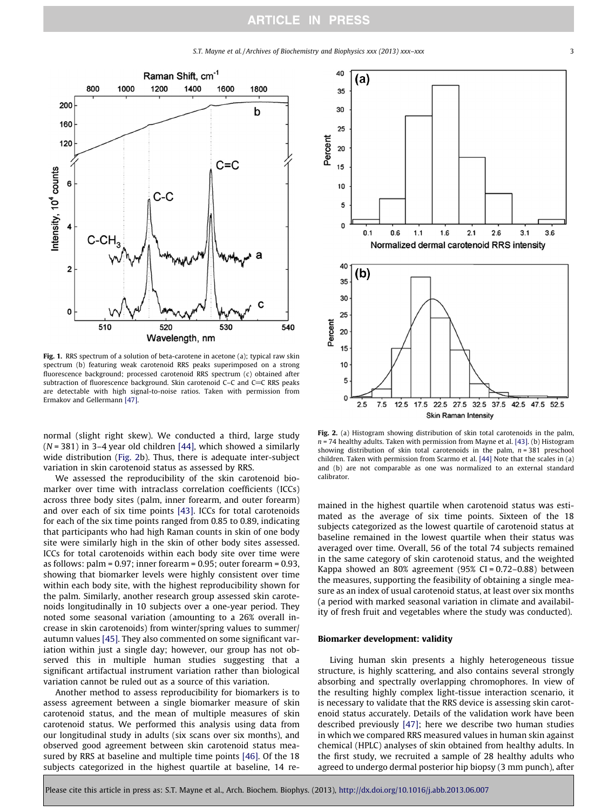S.T. Mayne et al./Archives of Biochemistry and Biophysics xxx (2013) xxx–xxx 33

<span id="page-2-0"></span>

Fig. 1. RRS spectrum of a solution of beta-carotene in acetone (a); typical raw skin spectrum (b) featuring weak carotenoid RRS peaks superimposed on a strong fluorescence background; processed carotenoid RRS spectrum (c) obtained after subtraction of fluorescence background. Skin carotenoid C–C and C=C RRS peaks are detectable with high signal-to-noise ratios. Taken with permission from Ermakov and Gellermann [\[47\].](#page-6-0)

normal (slight right skew). We conducted a third, large study  $(N = 381)$  in 3–4 year old children [\[44\]](#page-6-0), which showed a similarly wide distribution (Fig. 2b). Thus, there is adequate inter-subject variation in skin carotenoid status as assessed by RRS.

We assessed the reproducibility of the skin carotenoid biomarker over time with intraclass correlation coefficients (ICCs) across three body sites (palm, inner forearm, and outer forearm) and over each of six time points [\[43\]](#page-6-0). ICCs for total carotenoids for each of the six time points ranged from 0.85 to 0.89, indicating that participants who had high Raman counts in skin of one body site were similarly high in the skin of other body sites assessed. ICCs for total carotenoids within each body site over time were as follows: palm = 0.97; inner forearm = 0.95; outer forearm = 0.93, showing that biomarker levels were highly consistent over time within each body site, with the highest reproducibility shown for the palm. Similarly, another research group assessed skin carotenoids longitudinally in 10 subjects over a one-year period. They noted some seasonal variation (amounting to a 26% overall increase in skin carotenoids) from winter/spring values to summer/ autumn values [\[45\].](#page-6-0) They also commented on some significant variation within just a single day; however, our group has not observed this in multiple human studies suggesting that a significant artifactual instrument variation rather than biological variation cannot be ruled out as a source of this variation.

Another method to assess reproducibility for biomarkers is to assess agreement between a single biomarker measure of skin carotenoid status, and the mean of multiple measures of skin carotenoid status. We performed this analysis using data from our longitudinal study in adults (six scans over six months), and observed good agreement between skin carotenoid status measured by RRS at baseline and multiple time points [\[46\].](#page-6-0) Of the 18 subjects categorized in the highest quartile at baseline, 14 re-



Fig. 2. (a) Histogram showing distribution of skin total carotenoids in the palm,  $n = 74$  healthy adults. Taken with permission from Mayne et al. [\[43\].](#page-6-0) (b) Histogram showing distribution of skin total carotenoids in the palm,  $n = 381$  preschool children. Taken with permission from Scarmo et al. [\[44\]](#page-6-0) Note that the scales in (a) and (b) are not comparable as one was normalized to an external standard calibrator.

mained in the highest quartile when carotenoid status was estimated as the average of six time points. Sixteen of the 18 subjects categorized as the lowest quartile of carotenoid status at baseline remained in the lowest quartile when their status was averaged over time. Overall, 56 of the total 74 subjects remained in the same category of skin carotenoid status, and the weighted Kappa showed an 80% agreement (95% CI = 0.72–0.88) between the measures, supporting the feasibility of obtaining a single measure as an index of usual carotenoid status, at least over six months (a period with marked seasonal variation in climate and availability of fresh fruit and vegetables where the study was conducted).

#### Biomarker development: validity

Living human skin presents a highly heterogeneous tissue structure, is highly scattering, and also contains several strongly absorbing and spectrally overlapping chromophores. In view of the resulting highly complex light-tissue interaction scenario, it is necessary to validate that the RRS device is assessing skin carotenoid status accurately. Details of the validation work have been described previously [\[47\]](#page-6-0); here we describe two human studies in which we compared RRS measured values in human skin against chemical (HPLC) analyses of skin obtained from healthy adults. In the first study, we recruited a sample of 28 healthy adults who agreed to undergo dermal posterior hip biopsy (3 mm punch), after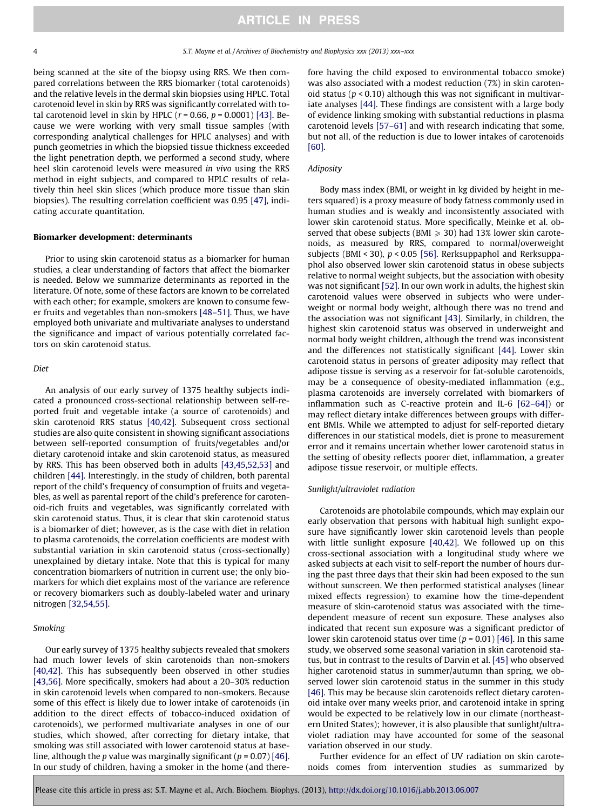being scanned at the site of the biopsy using RRS. We then compared correlations between the RRS biomarker (total carotenoids) and the relative levels in the dermal skin biopsies using HPLC. Total carotenoid level in skin by RRS was significantly correlated with total carotenoid level in skin by HPLC ( $r = 0.66$ ,  $p = 0.0001$ ) [\[43\].](#page-6-0) Because we were working with very small tissue samples (with corresponding analytical challenges for HPLC analyses) and with punch geometries in which the biopsied tissue thickness exceeded the light penetration depth, we performed a second study, where heel skin carotenoid levels were measured in vivo using the RRS method in eight subjects, and compared to HPLC results of relatively thin heel skin slices (which produce more tissue than skin biopsies). The resulting correlation coefficient was 0.95 [\[47\]](#page-6-0), indicating accurate quantitation.

#### Biomarker development: determinants

Prior to using skin carotenoid status as a biomarker for human studies, a clear understanding of factors that affect the biomarker is needed. Below we summarize determinants as reported in the literature. Of note, some of these factors are known to be correlated with each other; for example, smokers are known to consume fewer fruits and vegetables than non-smokers [\[48–51\]](#page-6-0). Thus, we have employed both univariate and multivariate analyses to understand the significance and impact of various potentially correlated factors on skin carotenoid status.

#### Diet

An analysis of our early survey of 1375 healthy subjects indicated a pronounced cross-sectional relationship between self-reported fruit and vegetable intake (a source of carotenoids) and skin carotenoid RRS status [\[40,42\]](#page-6-0). Subsequent cross sectional studies are also quite consistent in showing significant associations between self-reported consumption of fruits/vegetables and/or dietary carotenoid intake and skin carotenoid status, as measured by RRS. This has been observed both in adults [\[43,45,52,53\]](#page-6-0) and children [\[44\].](#page-6-0) Interestingly, in the study of children, both parental report of the child's frequency of consumption of fruits and vegetables, as well as parental report of the child's preference for carotenoid-rich fruits and vegetables, was significantly correlated with skin carotenoid status. Thus, it is clear that skin carotenoid status is a biomarker of diet; however, as is the case with diet in relation to plasma carotenoids, the correlation coefficients are modest with substantial variation in skin carotenoid status (cross-sectionally) unexplained by dietary intake. Note that this is typical for many concentration biomarkers of nutrition in current use; the only biomarkers for which diet explains most of the variance are reference or recovery biomarkers such as doubly-labeled water and urinary nitrogen [\[32,54,55\].](#page-6-0)

#### Smoking

Our early survey of 1375 healthy subjects revealed that smokers had much lower levels of skin carotenoids than non-smokers [\[40,42\].](#page-6-0) This has subsequently been observed in other studies [\[43,56\].](#page-6-0) More specifically, smokers had about a 20–30% reduction in skin carotenoid levels when compared to non-smokers. Because some of this effect is likely due to lower intake of carotenoids (in addition to the direct effects of tobacco-induced oxidation of carotenoids), we performed multivariate analyses in one of our studies, which showed, after correcting for dietary intake, that smoking was still associated with lower carotenoid status at baseline, although the p value was marginally significant ( $p = 0.07$ ) [\[46\].](#page-6-0) In our study of children, having a smoker in the home (and therefore having the child exposed to environmental tobacco smoke) was also associated with a modest reduction (7%) in skin carotenoid status ( $p < 0.10$ ) although this was not significant in multivariate analyses [\[44\]](#page-6-0). These findings are consistent with a large body of evidence linking smoking with substantial reductions in plasma carotenoid levels [\[57–61\]](#page-6-0) and with research indicating that some, but not all, of the reduction is due to lower intakes of carotenoids [\[60\]](#page-6-0).

#### Adiposity

Body mass index (BMI, or weight in kg divided by height in meters squared) is a proxy measure of body fatness commonly used in human studies and is weakly and inconsistently associated with lower skin carotenoid status. More specifically, Meinke et al. observed that obese subjects (BMI  $\geqslant$  30) had 13% lower skin carotenoids, as measured by RRS, compared to normal/overweight subjects (BMI < 30), p < 0.05 [\[56\].](#page-6-0) Rerksuppaphol and Rerksuppaphol also observed lower skin carotenoid status in obese subjects relative to normal weight subjects, but the association with obesity was not significant [\[52\].](#page-6-0) In our own work in adults, the highest skin carotenoid values were observed in subjects who were underweight or normal body weight, although there was no trend and the association was not significant [\[43\].](#page-6-0) Similarly, in children, the highest skin carotenoid status was observed in underweight and normal body weight children, although the trend was inconsistent and the differences not statistically significant [\[44\].](#page-6-0) Lower skin carotenoid status in persons of greater adiposity may reflect that adipose tissue is serving as a reservoir for fat-soluble carotenoids, may be a consequence of obesity-mediated inflammation (e.g., plasma carotenoids are inversely correlated with biomarkers of inflammation such as C-reactive protein and IL-6 [\[62–64\]\)](#page-6-0) or may reflect dietary intake differences between groups with different BMIs. While we attempted to adjust for self-reported dietary differences in our statistical models, diet is prone to measurement error and it remains uncertain whether lower carotenoid status in the setting of obesity reflects poorer diet, inflammation, a greater adipose tissue reservoir, or multiple effects.

#### Sunlight/ultraviolet radiation

Carotenoids are photolabile compounds, which may explain our early observation that persons with habitual high sunlight exposure have significantly lower skin carotenoid levels than people with little sunlight exposure [\[40,42\].](#page-6-0) We followed up on this cross-sectional association with a longitudinal study where we asked subjects at each visit to self-report the number of hours during the past three days that their skin had been exposed to the sun without sunscreen. We then performed statistical analyses (linear mixed effects regression) to examine how the time-dependent measure of skin-carotenoid status was associated with the timedependent measure of recent sun exposure. These analyses also indicated that recent sun exposure was a significant predictor of lower skin carotenoid status over time ( $p = 0.01$ ) [\[46\].](#page-6-0) In this same study, we observed some seasonal variation in skin carotenoid status, but in contrast to the results of Darvin et al. [\[45\]](#page-6-0) who observed higher carotenoid status in summer/autumn than spring, we observed lower skin carotenoid status in the summer in this study [\[46\]](#page-6-0). This may be because skin carotenoids reflect dietary carotenoid intake over many weeks prior, and carotenoid intake in spring would be expected to be relatively low in our climate (northeastern United States); however, it is also plausible that sunlight/ultraviolet radiation may have accounted for some of the seasonal variation observed in our study.

Further evidence for an effect of UV radiation on skin carotenoids comes from intervention studies as summarized by

Please cite this article in press as: S.T. Mayne et al., Arch. Biochem. Biophys. (2013), <http://dx.doi.org/10.1016/j.abb.2013.06.007>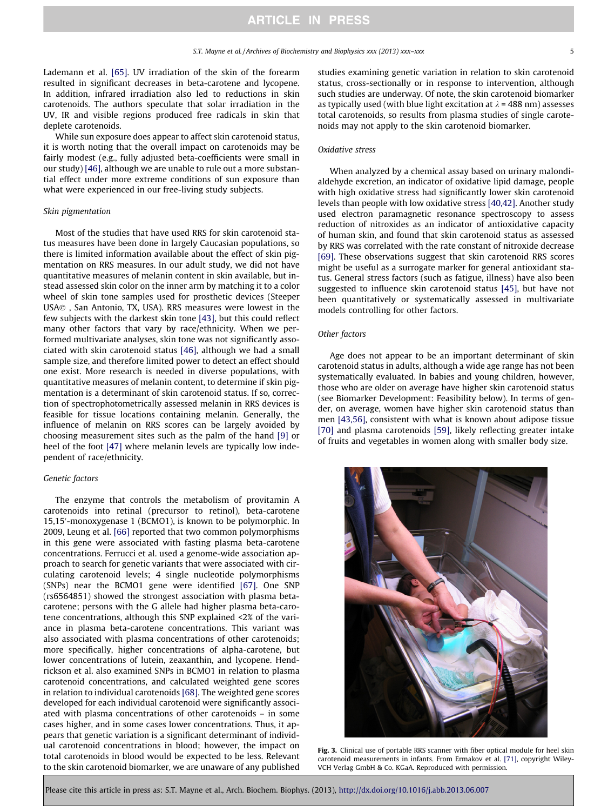<span id="page-4-0"></span>Lademann et al. [\[65\].](#page-7-0) UV irradiation of the skin of the forearm resulted in significant decreases in beta-carotene and lycopene. In addition, infrared irradiation also led to reductions in skin carotenoids. The authors speculate that solar irradiation in the UV, IR and visible regions produced free radicals in skin that deplete carotenoids.

While sun exposure does appear to affect skin carotenoid status, it is worth noting that the overall impact on carotenoids may be fairly modest (e.g., fully adjusted beta-coefficients were small in our study) [\[46\],](#page-6-0) although we are unable to rule out a more substantial effect under more extreme conditions of sun exposure than what were experienced in our free-living study subjects.

### Skin pigmentation

Most of the studies that have used RRS for skin carotenoid status measures have been done in largely Caucasian populations, so there is limited information available about the effect of skin pigmentation on RRS measures. In our adult study, we did not have quantitative measures of melanin content in skin available, but instead assessed skin color on the inner arm by matching it to a color wheel of skin tone samples used for prosthetic devices (Steeper USA<sup>®</sup>, San Antonio, TX, USA). RRS measures were lowest in the few subjects with the darkest skin tone [\[43\]](#page-6-0), but this could reflect many other factors that vary by race/ethnicity. When we performed multivariate analyses, skin tone was not significantly associated with skin carotenoid status [\[46\]](#page-6-0), although we had a small sample size, and therefore limited power to detect an effect should one exist. More research is needed in diverse populations, with quantitative measures of melanin content, to determine if skin pigmentation is a determinant of skin carotenoid status. If so, correction of spectrophotometrically assessed melanin in RRS devices is feasible for tissue locations containing melanin. Generally, the influence of melanin on RRS scores can be largely avoided by choosing measurement sites such as the palm of the hand [\[9\]](#page-6-0) or heel of the foot [\[47\]](#page-6-0) where melanin levels are typically low independent of race/ethnicity.

### Genetic factors

The enzyme that controls the metabolism of provitamin A carotenoids into retinal (precursor to retinol), beta-carotene 15,15'-monoxygenase 1 (BCMO1), is known to be polymorphic. In 2009, Leung et al. [\[66\]](#page-7-0) reported that two common polymorphisms in this gene were associated with fasting plasma beta-carotene concentrations. Ferrucci et al. used a genome-wide association approach to search for genetic variants that were associated with circulating carotenoid levels; 4 single nucleotide polymorphisms (SNPs) near the BCMO1 gene were identified [\[67\].](#page-7-0) One SNP (rs6564851) showed the strongest association with plasma betacarotene; persons with the G allele had higher plasma beta-carotene concentrations, although this SNP explained <2% of the variance in plasma beta-carotene concentrations. This variant was also associated with plasma concentrations of other carotenoids; more specifically, higher concentrations of alpha-carotene, but lower concentrations of lutein, zeaxanthin, and lycopene. Hendrickson et al. also examined SNPs in BCMO1 in relation to plasma carotenoid concentrations, and calculated weighted gene scores in relation to individual carotenoids [\[68\].](#page-7-0) The weighted gene scores developed for each individual carotenoid were significantly associated with plasma concentrations of other carotenoids – in some cases higher, and in some cases lower concentrations. Thus, it appears that genetic variation is a significant determinant of individual carotenoid concentrations in blood; however, the impact on total carotenoids in blood would be expected to be less. Relevant to the skin carotenoid biomarker, we are unaware of any published

studies examining genetic variation in relation to skin carotenoid status, cross-sectionally or in response to intervention, although such studies are underway. Of note, the skin carotenoid biomarker as typically used (with blue light excitation at  $\lambda$  = 488 nm) assesses total carotenoids, so results from plasma studies of single carotenoids may not apply to the skin carotenoid biomarker.

#### Oxidative stress

When analyzed by a chemical assay based on urinary malondialdehyde excretion, an indicator of oxidative lipid damage, people with high oxidative stress had significantly lower skin carotenoid levels than people with low oxidative stress [\[40,42\].](#page-6-0) Another study used electron paramagnetic resonance spectroscopy to assess reduction of nitroxides as an indicator of antioxidative capacity of human skin, and found that skin carotenoid status as assessed by RRS was correlated with the rate constant of nitroxide decrease [\[69\]](#page-7-0). These observations suggest that skin carotenoid RRS scores might be useful as a surrogate marker for general antioxidant status. General stress factors (such as fatigue, illness) have also been suggested to influence skin carotenoid status [\[45\],](#page-6-0) but have not been quantitatively or systematically assessed in multivariate models controlling for other factors.

#### Other factors

Age does not appear to be an important determinant of skin carotenoid status in adults, although a wide age range has not been systematically evaluated. In babies and young children, however, those who are older on average have higher skin carotenoid status (see Biomarker Development: Feasibility below). In terms of gender, on average, women have higher skin carotenoid status than men [\[43,56\]](#page-6-0), consistent with what is known about adipose tissue [\[70\]](#page-7-0) and plasma carotenoids [\[59\],](#page-6-0) likely reflecting greater intake of fruits and vegetables in women along with smaller body size.



Fig. 3. Clinical use of portable RRS scanner with fiber optical module for heel skin carotenoid measurements in infants. From Ermakov et al. [\[71\]](#page-7-0), copyright Wiley-VCH Verlag GmbH & Co. KGaA. Reproduced with permission.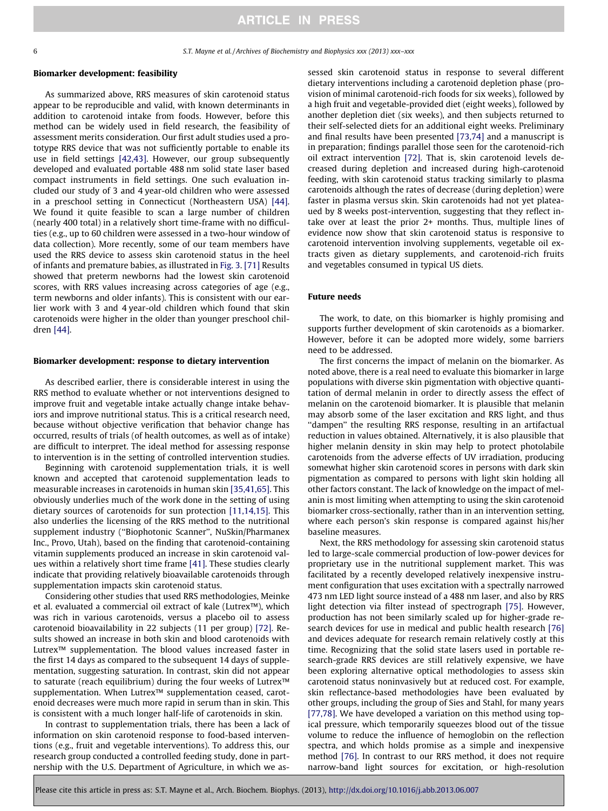#### Biomarker development: feasibility

As summarized above, RRS measures of skin carotenoid status appear to be reproducible and valid, with known determinants in addition to carotenoid intake from foods. However, before this method can be widely used in field research, the feasibility of assessment merits consideration. Our first adult studies used a prototype RRS device that was not sufficiently portable to enable its use in field settings [\[42,43\]](#page-6-0). However, our group subsequently developed and evaluated portable 488 nm solid state laser based compact instruments in field settings. One such evaluation included our study of 3 and 4 year-old children who were assessed in a preschool setting in Connecticut (Northeastern USA) [\[44\].](#page-6-0) We found it quite feasible to scan a large number of children (nearly 400 total) in a relatively short time-frame with no difficulties (e.g., up to 60 children were assessed in a two-hour window of data collection). More recently, some of our team members have used the RRS device to assess skin carotenoid status in the heel of infants and premature babies, as illustrated in [Fig. 3](#page-4-0). [\[71\]](#page-7-0) Results showed that preterm newborns had the lowest skin carotenoid scores, with RRS values increasing across categories of age (e.g., term newborns and older infants). This is consistent with our earlier work with 3 and 4 year-old children which found that skin carotenoids were higher in the older than younger preschool children [\[44\]](#page-6-0).

#### Biomarker development: response to dietary intervention

As described earlier, there is considerable interest in using the RRS method to evaluate whether or not interventions designed to improve fruit and vegetable intake actually change intake behaviors and improve nutritional status. This is a critical research need, because without objective verification that behavior change has occurred, results of trials (of health outcomes, as well as of intake) are difficult to interpret. The ideal method for assessing response to intervention is in the setting of controlled intervention studies.

Beginning with carotenoid supplementation trials, it is well known and accepted that carotenoid supplementation leads to measurable increases in carotenoids in human skin [\[35,41,65\]](#page-6-0). This obviously underlies much of the work done in the setting of using dietary sources of carotenoids for sun protection [\[11,14,15\].](#page-6-0) This also underlies the licensing of the RRS method to the nutritional supplement industry (''Biophotonic Scanner'', NuSkin/Pharmanex Inc., Provo, Utah), based on the finding that carotenoid-containing vitamin supplements produced an increase in skin carotenoid values within a relatively short time frame [\[41\]](#page-6-0). These studies clearly indicate that providing relatively bioavailable carotenoids through supplementation impacts skin carotenoid status.

Considering other studies that used RRS methodologies, Meinke et al. evaluated a commercial oil extract of kale (Lutrex™), which was rich in various carotenoids, versus a placebo oil to assess carotenoid bioavailability in 22 subjects (11 per group) [\[72\].](#page-7-0) Results showed an increase in both skin and blood carotenoids with Lutrex™ supplementation. The blood values increased faster in the first 14 days as compared to the subsequent 14 days of supplementation, suggesting saturation. In contrast, skin did not appear to saturate (reach equilibrium) during the four weeks of Lutrex™ supplementation. When Lutrex™ supplementation ceased, carotenoid decreases were much more rapid in serum than in skin. This is consistent with a much longer half-life of carotenoids in skin.

In contrast to supplementation trials, there has been a lack of information on skin carotenoid response to food-based interventions (e.g., fruit and vegetable interventions). To address this, our research group conducted a controlled feeding study, done in partnership with the U.S. Department of Agriculture, in which we assessed skin carotenoid status in response to several different dietary interventions including a carotenoid depletion phase (provision of minimal carotenoid-rich foods for six weeks), followed by a high fruit and vegetable-provided diet (eight weeks), followed by another depletion diet (six weeks), and then subjects returned to their self-selected diets for an additional eight weeks. Preliminary and final results have been presented [\[73,74\]](#page-7-0) and a manuscript is in preparation; findings parallel those seen for the carotenoid-rich oil extract intervention [\[72\].](#page-7-0) That is, skin carotenoid levels decreased during depletion and increased during high-carotenoid feeding, with skin carotenoid status tracking similarly to plasma carotenoids although the rates of decrease (during depletion) were faster in plasma versus skin. Skin carotenoids had not yet plateaued by 8 weeks post-intervention, suggesting that they reflect intake over at least the prior 2+ months. Thus, multiple lines of evidence now show that skin carotenoid status is responsive to carotenoid intervention involving supplements, vegetable oil extracts given as dietary supplements, and carotenoid-rich fruits and vegetables consumed in typical US diets.

#### Future needs

The work, to date, on this biomarker is highly promising and supports further development of skin carotenoids as a biomarker. However, before it can be adopted more widely, some barriers need to be addressed.

The first concerns the impact of melanin on the biomarker. As noted above, there is a real need to evaluate this biomarker in large populations with diverse skin pigmentation with objective quantitation of dermal melanin in order to directly assess the effect of melanin on the carotenoid biomarker. It is plausible that melanin may absorb some of the laser excitation and RRS light, and thus "dampen" the resulting RRS response, resulting in an artifactual reduction in values obtained. Alternatively, it is also plausible that higher melanin density in skin may help to protect photolabile carotenoids from the adverse effects of UV irradiation, producing somewhat higher skin carotenoid scores in persons with dark skin pigmentation as compared to persons with light skin holding all other factors constant. The lack of knowledge on the impact of melanin is most limiting when attempting to using the skin carotenoid biomarker cross-sectionally, rather than in an intervention setting, where each person's skin response is compared against his/her baseline measures.

Next, the RRS methodology for assessing skin carotenoid status led to large-scale commercial production of low-power devices for proprietary use in the nutritional supplement market. This was facilitated by a recently developed relatively inexpensive instrument configuration that uses excitation with a spectrally narrowed 473 nm LED light source instead of a 488 nm laser, and also by RRS light detection via filter instead of spectrograph [\[75\]](#page-7-0). However, production has not been similarly scaled up for higher-grade research devices for use in medical and public health research [\[76\]](#page-7-0) and devices adequate for research remain relatively costly at this time. Recognizing that the solid state lasers used in portable research-grade RRS devices are still relatively expensive, we have been exploring alternative optical methodologies to assess skin carotenoid status noninvasively but at reduced cost. For example, skin reflectance-based methodologies have been evaluated by other groups, including the group of Sies and Stahl, for many years [\[77,78\].](#page-7-0) We have developed a variation on this method using topical pressure, which temporarily squeezes blood out of the tissue volume to reduce the influence of hemoglobin on the reflection spectra, and which holds promise as a simple and inexpensive method [\[76\].](#page-7-0) In contrast to our RRS method, it does not require narrow-band light sources for excitation, or high-resolution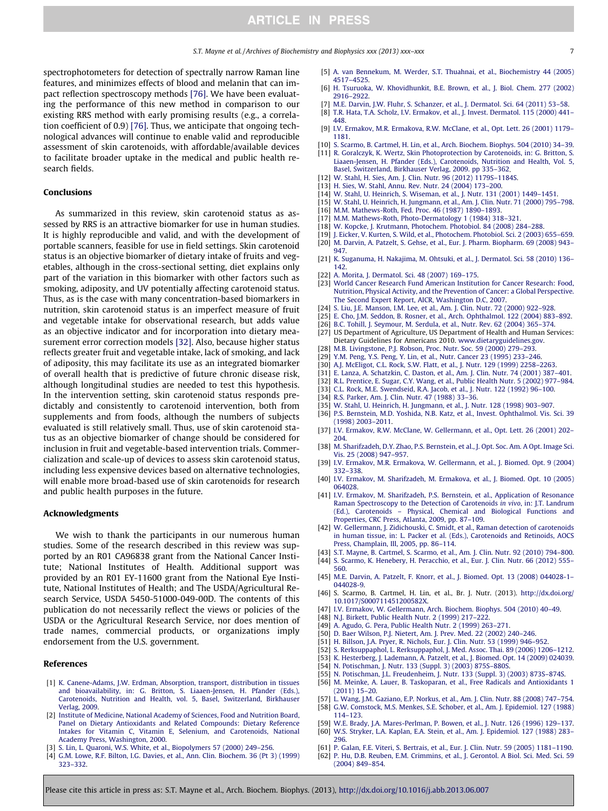<span id="page-6-0"></span>spectrophotometers for detection of spectrally narrow Raman line features, and minimizes effects of blood and melanin that can impact reflection spectroscopy methods [76]. We have been evaluating the performance of this new method in comparison to our existing RRS method with early promising results (e.g., a correlation coefficient of 0.9) [76]. Thus, we anticipate that ongoing technological advances will continue to enable valid and reproducible assessment of skin carotenoids, with affordable/available devices to facilitate broader uptake in the medical and public health research fields.

#### Conclusions

As summarized in this review, skin carotenoid status as assessed by RRS is an attractive biomarker for use in human studies. It is highly reproducible and valid, and with the development of portable scanners, feasible for use in field settings. Skin carotenoid status is an objective biomarker of dietary intake of fruits and vegetables, although in the cross-sectional setting, diet explains only part of the variation in this biomarker with other factors such as smoking, adiposity, and UV potentially affecting carotenoid status. Thus, as is the case with many concentration-based biomarkers in nutrition, skin carotenoid status is an imperfect measure of fruit and vegetable intake for observational research, but adds value as an objective indicator and for incorporation into dietary measurement error correction models [32]. Also, because higher status reflects greater fruit and vegetable intake, lack of smoking, and lack of adiposity, this may facilitate its use as an integrated biomarker of overall health that is predictive of future chronic disease risk, although longitudinal studies are needed to test this hypothesis. In the intervention setting, skin carotenoid status responds predictably and consistently to carotenoid intervention, both from supplements and from foods, although the numbers of subjects evaluated is still relatively small. Thus, use of skin carotenoid status as an objective biomarker of change should be considered for inclusion in fruit and vegetable-based intervention trials. Commercialization and scale-up of devices to assess skin carotenoid status, including less expensive devices based on alternative technologies, will enable more broad-based use of skin carotenoids for research and public health purposes in the future.

#### Acknowledgments

We wish to thank the participants in our numerous human studies. Some of the research described in this review was supported by an R01 CA96838 grant from the National Cancer Institute; National Institutes of Health. Additional support was provided by an R01 EY-11600 grant from the National Eye Institute, National Institutes of Health; and The USDA/Agricultural Research Service, USDA 5450-51000-049-00D. The contents of this publication do not necessarily reflect the views or policies of the USDA or the Agricultural Research Service, nor does mention of trade names, commercial products, or organizations imply endorsement from the U.S. government.

#### References

- [1] K. Canene-Adams, J.W. Erdman, Absorption, transport, distribution in tissues and bioavailability, in: G. Britton, S. Liaaen-Jensen, H. Pfander (Eds.), Carotenoids, Nutrition and Health, vol. 5, Basel, Switzerland, Birkhauser Verlag, 2009.
- [2] Institute of Medicine, National Academy of Sciences, Food and Nutrition Board, Panel on Dietary Antioxidants and Related Compounds: Dietary Reference Intakes for Vitamin C, Vitamin E, Selenium, and Carotenoids, National Academy Press, Washington, 2000.
- [3] S. Lin, L. Quaroni, W.S. White, et al., Biopolymers 57 (2000) 249–256. [4] G.M. Lowe, R.F. Bilton, I.G. Davies, et al., Ann. Clin. Biochem. 36 (Pt 3) (1999) 323–332.
- [5] A. van Bennekum, M. Werder, S.T. Thuahnai, et al., Biochemistry 44 (2005) 4517–4525.
- [6] H. Tsuruoka, W. Khovidhunkit, B.E. Brown, et al., J. Biol. Chem. 277 (2002) 2916–2922.
- [7] M.E. Darvin, J.W. Fluhr, S. Schanzer, et al., J. Dermatol. Sci. 64 (2011) 53–58.
- [8] T.R. Hata, T.A. Scholz, I.V. Ermakov, et al., J. Invest. Dermatol. 115 (2000) 441– 448. [9] I.V. Ermakov, M.R. Ermakova, R.W. McClane, et al., Opt. Lett. 26 (2001) 1179–
- 1181.
- [10] S. Scarmo, B. Cartmel, H. Lin, et al., Arch. Biochem. Biophys. 504 (2010) 34–39. [11] R. Goralczyk, K. Wertz, Skin Photoprotection by Carotenoids, in: G. Britton, S.
- Liaaen-Jensen, H. Pfander (Eds.), Carotenoids, Nutrition and Health, Vol. 5, Basel, Switzerland, Birkhauser Verlag, 2009. pp 335–362.
- [12] W. Stahl, H. Sies, Am. J. Clin. Nutr. 96 (2012) 1179S–1184S.
- [13] H. Sies, W. Stahl, Annu. Rev. Nutr. 24 (2004) 173–200.
- [14] W. Stahl, U. Heinrich, S. Wiseman, et al., J. Nutr. 131 (2001) 1449–1451.
- [15] W. Stahl, U. Heinrich, H. Jungmann, et al., Am. J. Clin. Nutr. 71 (2000) 795–798.
- [16] M.M. Mathews-Roth, Fed. Proc. 46 (1987) 1890–1893.
- [17] M.M. Mathews-Roth, Photo-Dermatology 1 (1984) 318–321.
- [18] W. Kopcke, J. Krutmann, Photochem. Photobiol. 84 (2008) 284–288.
- [19] J. Eicker, V. Kurten, S. Wild, et al., Photochem. Photobiol. Sci. 2 (2003) 655–659.
- [20] M. Darvin, A. Patzelt, S. Gehse, et al., Eur. J. Pharm. Biopharm. 69 (2008) 943– 947.
- [21] K. Suganuma, H. Nakajima, M. Ohtsuki, et al., J. Dermatol. Sci. 58 (2010) 136– 142.
- [22] A. Morita, J. Dermatol. Sci. 48 (2007) 169–175.
- [23] World Cancer Research Fund American Institution for Cancer Research: Food, Nutrition, Physical Activity, and the Prevention of Cancer: a Global Perspective. The Second Expert Report, AICR, Washington D.C, 2007.
- [24] S. Liu, J.E. Manson, I.M. Lee, et al., Am. J. Clin. Nutr. 72 (2000) 922–928.
- [25] E. Cho, J.M. Seddon, B. Rosner, et al., Arch. Ophthalmol. 122 (2004) 883–892.
- [26] B.C. Tohill, J. Seymour, M. Serdula, et al., Nutr. Rev. 62 (2004) 365–374.
- [27] US Department of Agriculture, US Department of Health and Human Services: Dietary Guidelines for Americans 2010. www.dietaryguidelines.gov.
- [28] M.B. Livingstone, P.J. Robson, Proc. Nutr. Soc. 59 (2000) 279–293.
- [29] Y.M. Peng, Y.S. Peng, Y. Lin, et al., Nutr. Cancer 23 (1995) 233–246.
- [30] A.J. McEligot, C.L. Rock, S.W. Flatt, et al., J. Nutr. 129 (1999) 2258–2263.
- [31] E. Lanza, A. Schatzkin, C. Daston, et al., Am. J. Clin. Nutr. 74 (2001) 387–401.
- [32] R.L. Prentice, E. Sugar, C.Y. Wang, et al., Public Health Nutr. 5 (2002) 977–984.
- [33] C.L. Rock, M.E. Swendseid, R.A. Jacob, et al., J. Nutr. 122 (1992) 96–100.
- [34] R.S. Parker, Am. J. Clin. Nutr. 47 (1988) 33–36.
- [35] W. Stahl, U. Heinrich, H. Jungmann, et al., J. Nutr. 128 (1998) 903–907.
- [36] P.S. Bernstein, M.D. Yoshida, N.B. Katz, et al., Invest. Ophthalmol. Vis. Sci. 39
- (1998) 2003–2011.
- [37] I.V. Ermakov, R.W. McClane, W. Gellermann, et al., Opt. Lett. 26 (2001) 202– 204.
- [38] M. Sharifzadeh, D.Y. Zhao, P.S. Bernstein, et al., J. Opt. Soc. Am. A Opt. Image Sci. Vis. 25 (2008) 947–957.
- [39] I.V. Ermakov, M.R. Ermakova, W. Gellermann, et al., J. Biomed. Opt. 9 (2004) 332–338.
- [40] I.V. Ermakov, M. Sharifzadeh, M. Ermakova, et al., J. Biomed. Opt. 10 (2005) 064028.
- [41] I.V. Ermakov, M. Sharifzadeh, P.S. Bernstein, et al., Application of Resonance Raman Spectroscopy to the Detection of Carotenoids in vivo, in: J.T. Landrum (Ed.), Carotenoids – Physical, Chemical and Biological Functions and Properties, CRC Press, Atlanta, 2009, pp. 87-109.
- [42] W. Gellermann, J. Zidichouski, C. Smidt, et al., Raman detection of carotenoids in human tissue, in: L. Packer et al. (Eds.), Carotenoids and Retinoids, AOCS Press, Champlain, Ill, 2005, pp. 86–114.
- [43] S.T. Mayne, B. Cartmel, S. Scarmo, et al., Am. J. Clin. Nutr. 92 (2010) 794–800.
- [44] S. Scarmo, K. Henebery, H. Peracchio, et al., Eur. J. Clin. Nutr. 66 (2012) 555– 560.
- [45] M.E. Darvin, A. Patzelt, F. Knorr, et al., J. Biomed. Opt. 13 (2008) 044028-1– 044028-9.
- [46] S. Scarmo, B. Cartmel, H. Lin, et al., Br. J. Nutr. (2013). http://dx.doi.org/ 10.1017/S000711451200582X.
- [47] I.V. Ermakov, W. Gellermann, Arch. Biochem. Biophys. 504 (2010) 40–49.
- [48] N.J. Birkett, Public Health Nutr. 2 (1999) 217-222.
- [49] A. Agudo, G. Pera, Public Health Nutr. 2 (1999) 263–271.
- [50] D. Baer Wilson, P.J. Nietert, Am. J. Prev. Med. 22 (2002) 240–246.
- [51] H. Billson, J.A. Pryer, R. Nichols, Eur. J. Clin. Nutr. 53 (1999) 946–952.
- [52] S. Rerksuppaphol, L. Rerksuppaphol, J. Med. Assoc. Thai. 89 (2006) 1206–1212.
- [53] K. Hesterberg, J. Lademann, A. Patzelt, et al., J. Biomed. Opt. 14 (2009) 024039.
- [54] N. Potischman, J. Nutr. 133 (Suppl. 3) (2003) 875S–880S.
- [55] N. Potischman, J.L. Freudenheim, J. Nutr. 133 (Suppl. 3) (2003) 873S–874S.
- [56] M. Meinke, A. Lauer, B. Taskoparan, et al., Free Radicals and Antioxidants 1 (2011) 15–20.
- [57] L. Wang, J.M. Gaziano, E.P. Norkus, et al., Am. J. Clin. Nutr. 88 (2008) 747–754. [58] G.W. Comstock, M.S. Menkes, S.E. Schober, et al., Am. J. Epidemiol. 127 (1988)
- 114–123. [59] W.E. Brady, J.A. Mares-Perlman, P. Bowen, et al., J. Nutr. 126 (1996) 129–137.
- [60] W.S. Stryker, L.A. Kaplan, E.A. Stein, et al., Am. J. Epidemiol. 127 (1988) 283– 296.
- [61] P. Galan, F.E. Viteri, S. Bertrais, et al., Eur. J. Clin. Nutr. 59 (2005) 1181–1190. [62] P. Hu, D.B. Reuben, E.M. Crimmins, et al., J. Gerontol. A Biol. Sci. Med. Sci. 59 (2004) 849–854.